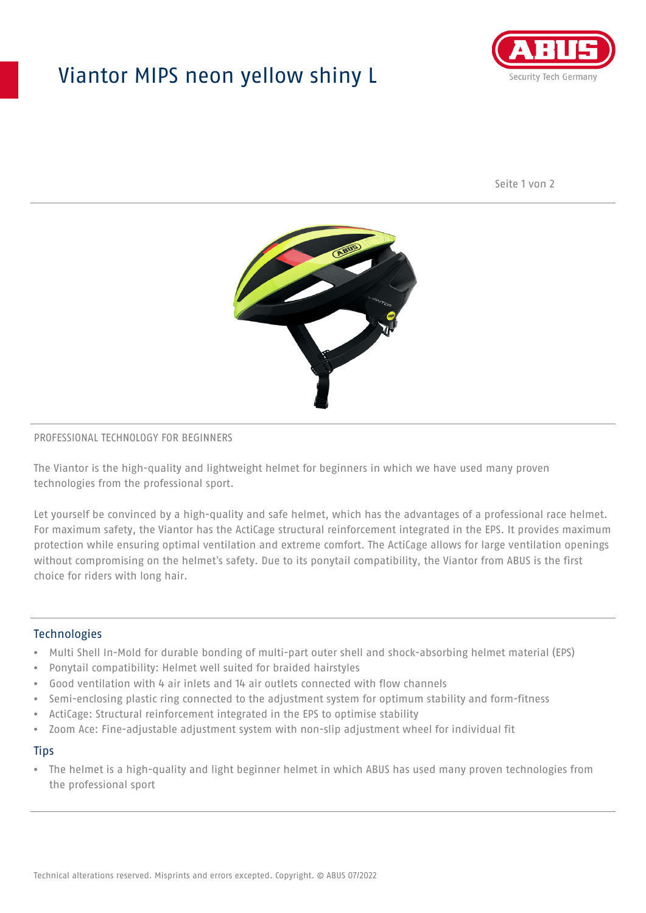# Viantor MIPS neon yellow shiny L



Seite 1 von 2



### PROFESSIONAL TECHNOLOGY FOR BEGINNERS

The Viantor is the high-quality and lightweight helmet for beginners in which we have used many proven technologies from the professional sport.

Let yourself be convinced by a high-quality and safe helmet, which has the advantages of a professional race helmet. For maximum safety, the Viantor has the ActiCage structural reinforcement integrated in the EPS. It provides maximum protection while ensuring optimal ventilation and extreme comfort. The ActiCage allows for large ventilation openings without compromising on the helmet's safety. Due to its ponytail compatibility, the Viantor from ABUS is the first choice for riders with long hair.

### **Technologies**

- Multi Shell In-Mold for durable bonding of multi-part outer shell and shock-absorbing helmet material (EPS)
- Ponytail compatibility: Helmet well suited for braided hairstyles
- Good ventilation with 4 air inlets and 14 air outlets connected with flow channels
- Semi-enclosing plastic ring connected to the adjustment system for optimum stability and form-fitness
- ActiCage: Structural reinforcement integrated in the EPS to optimise stability
- Zoom Ace: Fine-adjustable adjustment system with non-slip adjustment wheel for individual fit

#### **Tips**

• The helmet is a high-quality and light beginner helmet in which ABUS has used many proven technologies from the professional sport